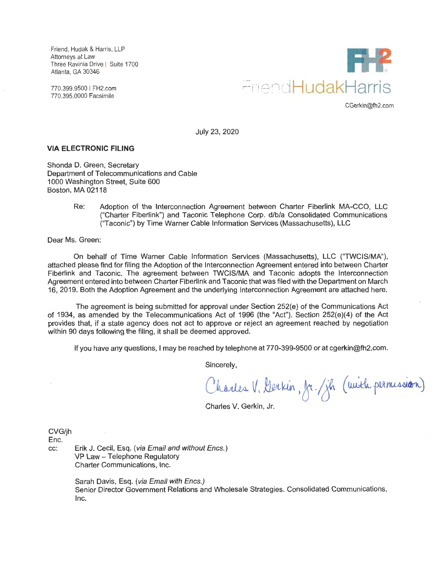· Friend, Hudak & Harris, LLP Attorneys at Law Three Ravinia Drive I Suite 1700 Atlanta, GA 30346

770.399.9500 I FH2.com 770.395.0000 Facsimile



CGerkin@fh2.com

July 23, 2020

#### **VIA ELECTRONIC FILING**

Shonda D. Green, Secretary Department of Telecommunications and Cable 1000 Washington Street, Suite 600 Boston, MA 02118

> Re: Adoption of the Interconnection Agreement between Charter Fiberlink MA-CCO, LLC ("Charter Fiberlink") and Taconic Telephone Corp. d/b/a Consolidated Communications ("Taconic") by Time Warner Cable Information Services (Massachusetts), LLC

Dear Ms. Green:

On behalf of Time Warner Cable Information Services (Massachusetts), LLC ("TWCIS/MA"), attached please find for filing the Adoption of the Interconnection Agreement entered into between Charter Fiberlink and Taconic. The agreement between TWCIS/MA and Taconic adopts the Interconnection Agreement entered into between Charter Fiberlink and Taconic that was filed with the Department on March 16, 2019. Both the Adoption Agreement and the underlying Interconnection Agreement are attached here.

The agreement is being submitted for approval under Section 252(e) of the Communications Act of 1934, as amended by the Telecommunications Act of 1996 (the "Act"). Section 252(e)(4) of the Act provides that, if a state agency does not act to approve or reject an agreement reached by negotiation within 90 days following the filing, it shall be deemed approved.

If you have any questions, I may be reached by telephone at 770-399-9500 or at cgerkin@fh2.com.

Sincerely,

Charles V. Gerkin, fr. / jh (with permission)

Charles V. Gerkin, Jr.

CVG/jh

Enc.

cc: Erik J. Cecil, Esq. (via Email and without Encs.) VP Law - Telephone Regulatory Charter Communications, Inc.

> Sarah Davis, Esq. (via Email with Encs.) Senior Director Government Relations and Wholesale Strategies. Consolidated Communications, Inc.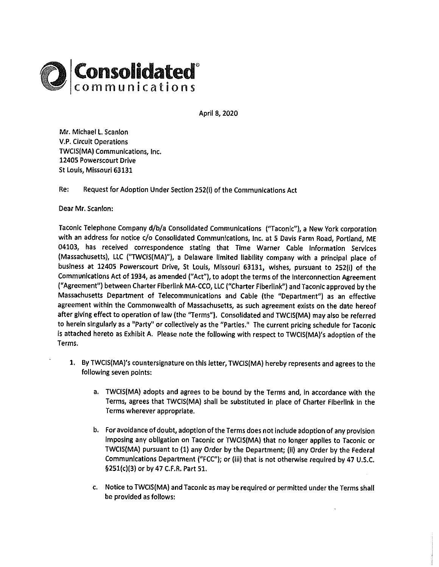

April 8, 2020

Mr. Michael L. Scanlon V.P. Circuit Operations TWCIS(MA) Communications, Inc. 12405 Powerscourt Drive St Louis, Missouri 63131

Re: Request for Adoption Under Section 252(i) of the Communications Act

Dear Mr. Scanlon:

Taconic Telephone Company d/b/a Consolidated Communications ("Taconic"), a New York corporation with an address for notice c/o Consolidated Communications, Inc. at 5 Davis Farm Road, Portland, ME 04103, has received correspondence stating that Time Warner Cable Information Services (Massachusetts), LLC (''TWCIS(MA)"), a Delaware limited liability company with a principal place of business at 12405 Powerscourt Drive, St Louis, Missouri 63131, wishes, pursuant to 252(i) of the Communications Act of 1934, as amended ("Act"), to adopt the terms of the Interconnection Agreement ("Agreement") between Charter Fiberlink MA-CCO, LLC ("Charter Fiberlink") and Taconic approved by the Massachusetts Department of Telecommunications and Cable (the "Department") as an effective agreement within the Commonwealth of Massachusetts, as such agreement exists on the date hereof after giving effect to operation of law (the "Terms"). Consolidated and TWCIS(MA) may also be referred to herein singularly as a "Party" or collectively as the "Parties." The current pricing schedule for Taconic is attached hereto as Exhibit A. Please note the following with respect to TWCIS(MA)'s adoption of the Terms.

- **1.** By TWCIS(MA)'s countersignature on this letter, TWCIS(MA) hereby represents and agrees to the following seven points:
	- a. TWCIS(MA) adopts and agrees to be bound by the Terms and, in accordance with the Terms, agrees that TWCIS(MA) shall be substituted In place of Charter Flberlink in the Terms wherever appropriate.
	- b. For avoidance of doubt, adoption of the Terms does not include adoption of any provision imposing any obligation on Taconic or TWCIS(MA) that no longer applies to Taconic or TWCIS(MA) pursuant to (1) any Order by the Department; (ii) any Order by the Federal Communications Department ("FCC"); or (Iii) that is not otherwise required by 47 U.S.C. §251(c)(3) or by 47 C.F.R. Part 51.
	- c. Notice to TWCIS(MA) and Taconic as may be required or permitted under the Terms shall be provided as follows: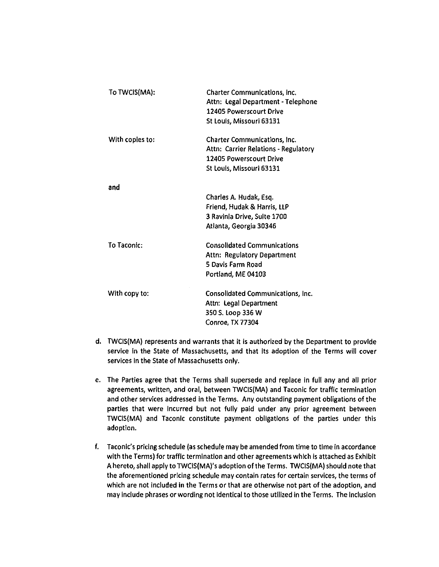| To TWCIS(MA):   | <b>Charter Communications, Inc.</b><br>Attn: Legal Department - Telephone<br><b>12405 Powerscourt Drive</b><br>St Louis, Missouri 63131 |
|-----------------|-----------------------------------------------------------------------------------------------------------------------------------------|
| With copies to: | <b>Charter Communications, Inc.</b><br>Attn: Carrier Relations - Regulatory<br>12405 Powerscourt Drive<br>St Louis, Missouri 63131      |
| and             | Charles A. Hudak, Esq.<br>Friend, Hudak & Harris, LLP<br>3 Ravinia Drive, Suite 1700<br>Atlanta, Georgia 30346                          |
| To Taconic:     | <b>Consolidated Communications</b><br>Attn: Regulatory Department<br>5 Davis Farm Road<br>Portland, ME 04103                            |
| With copy to:   | Consolidated Communications, Inc.<br>Attn: Legal Department<br>350 S. Loop 336 W<br>Conroe, TX 77304                                    |

- **d.** TWCIS{MA) represents and warrants that it is authorized by the Department to provide service in the State of Massachusetts, and that its adoption of the Terms will cover services in the State of Massachusetts only.
- e. The Parties agree that the Terms shall supersede and replace in full any and all prior agreements, written, and oral, between TWCIS(MA) and Taconic for traffic termination and other services addressed in the Terms. Any outstanding payment obligations of the parties that were incurred but not fully paid under any prior agreement between TWCIS(MA) and Taconic constitute payment obligations of the parties under this adoption.
- f. Taconic's pricing schedule (as schedule may be amended from time to time in accordance with the Terms) for traffic termination and other agreements which is attached as Exhibit A hereto, shall apply to TWCIS(MA)'s adoption of the Terms. TWCIS(MA) should note that the aforementioned pricing schedule may contain rates for certain services, the terms of which are not included In the Terms or that are otherwise not part of the adoption, and may Include phrases or wording not identical to those utilized in the Terms. The Inclusion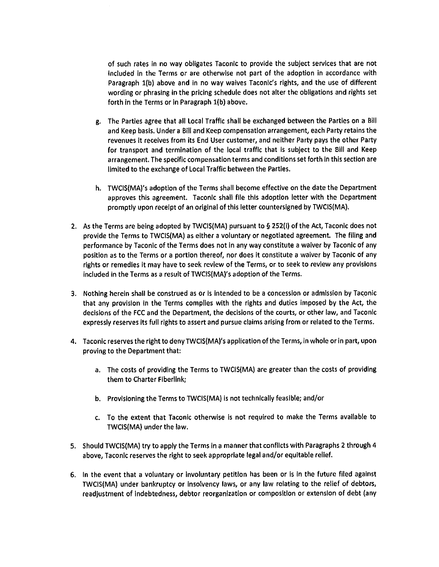of such rates in no way obligates Taconic to provide the subject services that are not included in the Terms or are otherwise not part of the adoption in accordance with Paragraph l(b) above and in no way waives Taconic's rights, and the use of different wording or phrasing in the pricing schedule does not alter the obligations and rights set forth in the Terms or in Paragraph 1(b) above.

- g. The Parties agree that all Local Traffic shall be exchanged between the Parties on a Bill and Keep basis. Under a Bill and Keep compensation arrangement, each Party retains the revenues it receives from its End User customer, and neither Party pays the other Party for transport and termination of the local traffic that is subject to the Bill and Keep arrangement. The specific compensation terms and conditions set forth In this section are limited to the exchange of Local Traffic between the Parties.
- h. TWCIS(MA)'s adoption of the Terms shall become effective on the date the Department approves this agreement. Taconlc shall file this adoption letter with the Department promptly upon receipt of an original of this letter countersigned by TWCIS(MA).
- 2. As the Terms are being adopted by TWCIS(MA) pursuant to§ 252(1) of the Act, Taconlc does not provide the Terms to TWCIS(MA) as either a voluntary or negotiated agreement. The filing and performance by Taconlc of the Terms does not in any way constitute a waiver by Taconic of any position as to the Terms or a portion thereof, nor does it constitute a waiver by Taconic of any rights or remedies It may have to seek review of the Terms, or to seek to review any provisions included in the Terms as a result ofTWCIS(MA)'s adoption of the Terms.
- 3. Nothing herein shall be construed as or is intended to be a concession or admission by Taconic that any provision in the Terms complies with the rights and duties imposed by the Act, the decisions of the FCC and the Department, the decisions of the courts, or other law, and Taconlc expressly reserves its full rights to assert and pursue claims arising from or related to the Terms.
- 4. Taconic reserves the right to denyTWCIS(MA)'s application of the Terms, in whole or in part, upon proving to the Department that:
	- a. The costs of providing the Terms to TWCIS(MA) are greater than the costs of providing them to Charter Fiberlink;
	- b. Provisioning the Terms to TWCIS(MA) is not technically feasible; and/or
	- c. To the extent that Taconic otherwise is not required to make the Terms available to TWCIS(MA) under the law.
- 5. Should TWCIS(MA) try to apply the Terms in a manner that conflicts with Paragraphs 2 through 4 above, Taconlc reserves the right to seek appropriate legal and/or equitable relief.
- 6. In the event that a voluntary or involuntary petition has been or Is In the future filed against TWCIS(MA) under bankruptcy or Insolvency laws, or any law relating to the relief of debtors, readjustment of indebtedness, debtor reorganization or composition or extension of debt (any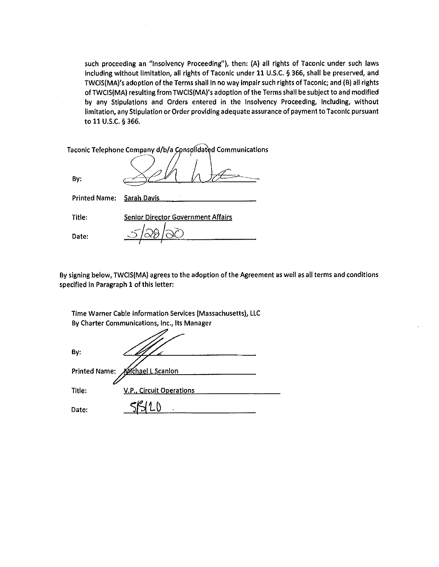such proceeding an "Insolvency Proceeding"), then: (A) all rights of Taconic under such laws including without limitation, all rights of Taconic under 11 U.S.C. § 366, shall be preserved, and TWCIS(MA)'s adoption of the Terms shall In no way impair such rights ofTaconic; and (B) all rights of TWCIS(MA) resulting from TWCIS(MA)'s adoption of the Terms shall be subject to and modified by any Stipulations and Orders entered in the Insolvency Proceeding, Including, without limitation, any Stipulation or Order providing adequate assurance of payment to Taconic pursuant to 11 U.S.C. § 366.

|                      | Taconic Telephone Company d/b/a Consolidated Communications |
|----------------------|-------------------------------------------------------------|
| Bv:                  |                                                             |
| <b>Printed Name:</b> | <b>Sarah Davis</b>                                          |
| Title:               | <b>Senior Director Government Affairs</b>                   |
| Date:                |                                                             |

 $\sim$ 

By signing below, TWCIS(MA) agrees to the adoption of the Agreement as well as all terms and conditions specified In Paragraph 1 of this letter:

Time Warner Cable Information Services (Massachusetts), LLC By Charter Communications, Inc., Its Manager

| By:    |                                 |
|--------|---------------------------------|
|        | Printed Name: Michael L Scanlon |
| Title: | V.P., Circuit Operations        |
| Date:  |                                 |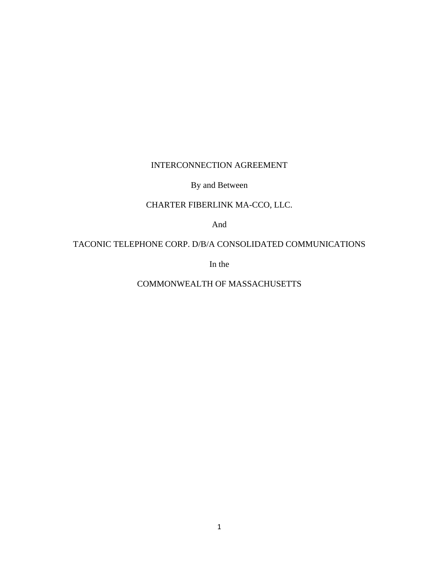# INTERCONNECTION AGREEMENT

By and Between

# CHARTER FIBERLINK MA-CCO, LLC.

And

TACONIC TELEPHONE CORP. D/B/A CONSOLIDATED COMMUNICATIONS

In the

COMMONWEALTH OF MASSACHUSETTS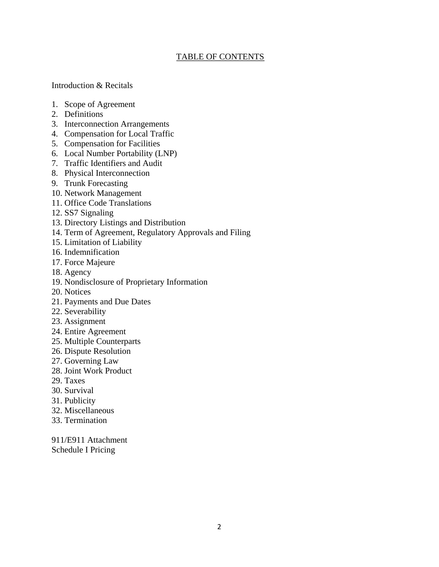# TABLE OF CONTENTS

## Introduction & Recitals

- 1. Scope of Agreement
- 2. Definitions
- 3. Interconnection Arrangements
- 4. Compensation for Local Traffic
- 5. Compensation for Facilities
- 6. Local Number Portability (LNP)
- 7. Traffic Identifiers and Audit
- 8. Physical Interconnection
- 9. Trunk Forecasting
- 10. Network Management
- 11. Office Code Translations
- 12. SS7 Signaling
- 13. Directory Listings and Distribution
- 14. Term of Agreement, Regulatory Approvals and Filing
- 15. Limitation of Liability
- 16. Indemnification
- 17. Force Majeure
- 18. Agency
- 19. Nondisclosure of Proprietary Information
- 20. Notices
- 21. Payments and Due Dates
- 22. Severability
- 23. Assignment
- 24. Entire Agreement
- 25. Multiple Counterparts
- 26. Dispute Resolution
- 27. Governing Law
- 28. Joint Work Product
- 29. Taxes
- 30. Survival
- 31. Publicity
- 32. Miscellaneous
- 33. Termination

911/E911 Attachment Schedule I Pricing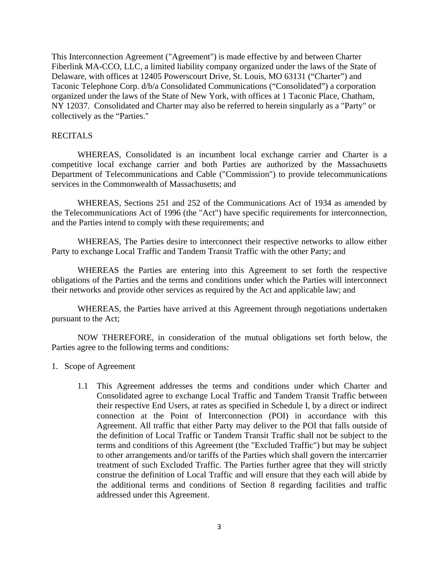This Interconnection Agreement ("Agreement") is made effective by and between Charter Fiberlink MA-CCO, LLC, a limited liability company organized under the laws of the State of Delaware, with offices at 12405 Powerscourt Drive, St. Louis, MO 63131 ("Charter") and Taconic Telephone Corp. d/b/a Consolidated Communications ("Consolidated") a corporation organized under the laws of the State of New York, with offices at 1 Taconic Place, Chatham, NY 12037. Consolidated and Charter may also be referred to herein singularly as a "Party" or collectively as the "Parties."

## RECITALS

WHEREAS, Consolidated is an incumbent local exchange carrier and Charter is a competitive local exchange carrier and both Parties are authorized by the Massachusetts Department of Telecommunications and Cable ("Commission") to provide telecommunications services in the Commonwealth of Massachusetts; and

WHEREAS, Sections 251 and 252 of the Communications Act of 1934 as amended by the Telecommunications Act of 1996 (the "Act") have specific requirements for interconnection, and the Parties intend to comply with these requirements; and

WHEREAS, The Parties desire to interconnect their respective networks to allow either Party to exchange Local Traffic and Tandem Transit Traffic with the other Party; and

WHEREAS the Parties are entering into this Agreement to set forth the respective obligations of the Parties and the terms and conditions under which the Parties will interconnect their networks and provide other services as required by the Act and applicable law; and

WHEREAS, the Parties have arrived at this Agreement through negotiations undertaken pursuant to the Act;

NOW THEREFORE, in consideration of the mutual obligations set forth below, the Parties agree to the following terms and conditions:

- 1. Scope of Agreement
	- 1.1 This Agreement addresses the terms and conditions under which Charter and Consolidated agree to exchange Local Traffic and Tandem Transit Traffic between their respective End Users, at rates as specified in Schedule I, by a direct or indirect connection at the Point of Interconnection (POI) in accordance with this Agreement. All traffic that either Party may deliver to the POI that falls outside of the definition of Local Traffic or Tandem Transit Traffic shall not be subject to the terms and conditions of this Agreement (the "Excluded Traffic") but may be subject to other arrangements and/or tariffs of the Parties which shall govern the intercarrier treatment of such Excluded Traffic. The Parties further agree that they will strictly construe the definition of Local Traffic and will ensure that they each will abide by the additional terms and conditions of Section 8 regarding facilities and traffic addressed under this Agreement.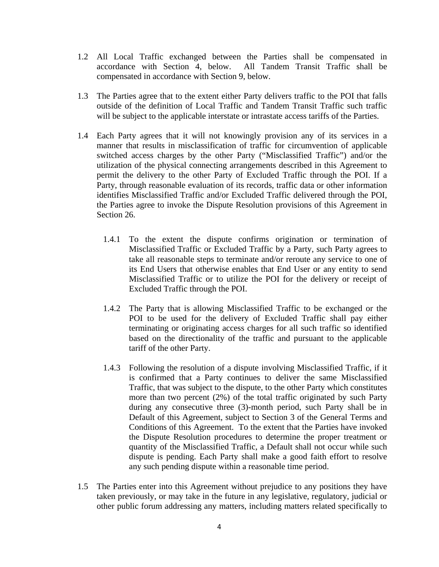- 1.2 All Local Traffic exchanged between the Parties shall be compensated in accordance with Section 4, below. All Tandem Transit Traffic shall be compensated in accordance with Section 9, below.
- 1.3 The Parties agree that to the extent either Party delivers traffic to the POI that falls outside of the definition of Local Traffic and Tandem Transit Traffic such traffic will be subject to the applicable interstate or intrastate access tariffs of the Parties.
- 1.4 Each Party agrees that it will not knowingly provision any of its services in a manner that results in misclassification of traffic for circumvention of applicable switched access charges by the other Party ("Misclassified Traffic") and/or the utilization of the physical connecting arrangements described in this Agreement to permit the delivery to the other Party of Excluded Traffic through the POI. If a Party, through reasonable evaluation of its records, traffic data or other information identifies Misclassified Traffic and/or Excluded Traffic delivered through the POI, the Parties agree to invoke the Dispute Resolution provisions of this Agreement in Section 26.
	- 1.4.1 To the extent the dispute confirms origination or termination of Misclassified Traffic or Excluded Traffic by a Party, such Party agrees to take all reasonable steps to terminate and/or reroute any service to one of its End Users that otherwise enables that End User or any entity to send Misclassified Traffic or to utilize the POI for the delivery or receipt of Excluded Traffic through the POI.
	- 1.4.2 The Party that is allowing Misclassified Traffic to be exchanged or the POI to be used for the delivery of Excluded Traffic shall pay either terminating or originating access charges for all such traffic so identified based on the directionality of the traffic and pursuant to the applicable tariff of the other Party.
	- 1.4.3 Following the resolution of a dispute involving Misclassified Traffic, if it is confirmed that a Party continues to deliver the same Misclassified Traffic, that was subject to the dispute, to the other Party which constitutes more than two percent (2%) of the total traffic originated by such Party during any consecutive three (3)-month period, such Party shall be in Default of this Agreement, subject to Section 3 of the General Terms and Conditions of this Agreement. To the extent that the Parties have invoked the Dispute Resolution procedures to determine the proper treatment or quantity of the Misclassified Traffic, a Default shall not occur while such dispute is pending. Each Party shall make a good faith effort to resolve any such pending dispute within a reasonable time period.
- 1.5 The Parties enter into this Agreement without prejudice to any positions they have taken previously, or may take in the future in any legislative, regulatory, judicial or other public forum addressing any matters, including matters related specifically to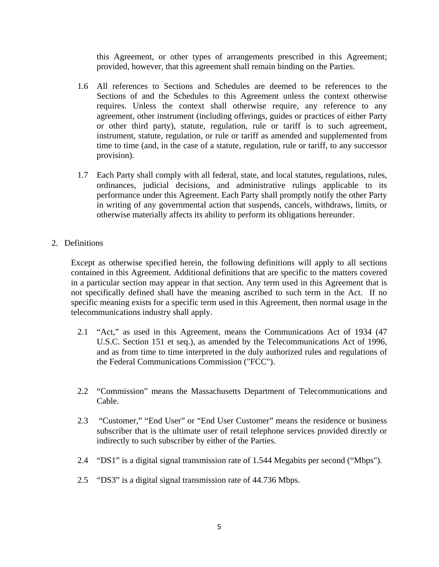this Agreement, or other types of arrangements prescribed in this Agreement; provided, however, that this agreement shall remain binding on the Parties.

- 1.6 All references to Sections and Schedules are deemed to be references to the Sections of and the Schedules to this Agreement unless the context otherwise requires. Unless the context shall otherwise require, any reference to any agreement, other instrument (including offerings, guides or practices of either Party or other third party), statute, regulation, rule or tariff is to such agreement, instrument, statute, regulation, or rule or tariff as amended and supplemented from time to time (and, in the case of a statute, regulation, rule or tariff, to any successor provision).
- 1.7 Each Party shall comply with all federal, state, and local statutes, regulations, rules, ordinances, judicial decisions, and administrative rulings applicable to its performance under this Agreement. Each Party shall promptly notify the other Party in writing of any governmental action that suspends, cancels, withdraws, limits, or otherwise materially affects its ability to perform its obligations hereunder.
- 2. Definitions

Except as otherwise specified herein, the following definitions will apply to all sections contained in this Agreement. Additional definitions that are specific to the matters covered in a particular section may appear in that section. Any term used in this Agreement that is not specifically defined shall have the meaning ascribed to such term in the Act. If no specific meaning exists for a specific term used in this Agreement, then normal usage in the telecommunications industry shall apply.

- 2.1 "Act," as used in this Agreement, means the Communications Act of 1934 (47 U.S.C. Section 151 et seq.), as amended by the Telecommunications Act of 1996, and as from time to time interpreted in the duly authorized rules and regulations of the Federal Communications Commission ("FCC").
- 2.2 "Commission" means the Massachusetts Department of Telecommunications and Cable.
- 2.3 "Customer," "End User" or "End User Customer" means the residence or business subscriber that is the ultimate user of retail telephone services provided directly or indirectly to such subscriber by either of the Parties.
- 2.4 "DS1" is a digital signal transmission rate of 1.544 Megabits per second ("Mbps").
- 2.5 "DS3" is a digital signal transmission rate of 44.736 Mbps.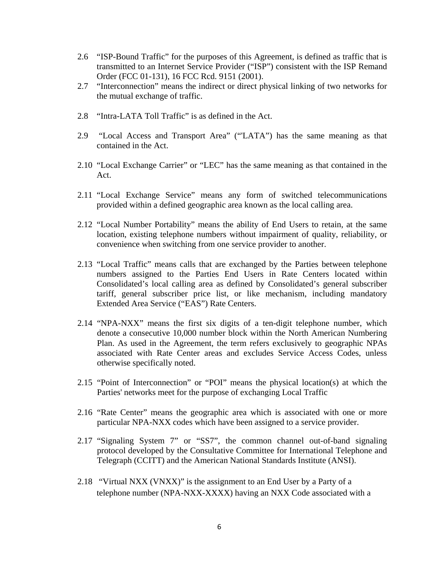- 2.6 "ISP-Bound Traffic" for the purposes of this Agreement, is defined as traffic that is transmitted to an Internet Service Provider ("ISP") consistent with the ISP Remand Order (FCC 01-131), 16 FCC Rcd. 9151 (2001).
- 2.7 "Interconnection" means the indirect or direct physical linking of two networks for the mutual exchange of traffic.
- 2.8 "Intra-LATA Toll Traffic" is as defined in the Act.
- 2.9 "Local Access and Transport Area" ("'LATA") has the same meaning as that contained in the Act.
- 2.10 "Local Exchange Carrier" or "LEC" has the same meaning as that contained in the Act.
- 2.11 "Local Exchange Service" means any form of switched telecommunications provided within a defined geographic area known as the local calling area.
- 2.12 "Local Number Portability" means the ability of End Users to retain, at the same location, existing telephone numbers without impairment of quality, reliability, or convenience when switching from one service provider to another.
- 2.13 "Local Traffic" means calls that are exchanged by the Parties between telephone numbers assigned to the Parties End Users in Rate Centers located within Consolidated's local calling area as defined by Consolidated's general subscriber tariff, general subscriber price list, or like mechanism, including mandatory Extended Area Service ("EAS") Rate Centers.
- 2.14 "NPA-NXX" means the first six digits of a ten-digit telephone number, which denote a consecutive 10,000 number block within the North American Numbering Plan. As used in the Agreement, the term refers exclusively to geographic NPAs associated with Rate Center areas and excludes Service Access Codes, unless otherwise specifically noted.
- 2.15 "Point of Interconnection" or "POI" means the physical location(s) at which the Parties' networks meet for the purpose of exchanging Local Traffic
- 2.16 "Rate Center" means the geographic area which is associated with one or more particular NPA-NXX codes which have been assigned to a service provider.
- 2.17 "Signaling System 7" or "SS7", the common channel out-of-band signaling protocol developed by the Consultative Committee for International Telephone and Telegraph (CCITT) and the American National Standards Institute (ANSI).
- 2.18 "Virtual NXX (VNXX)" is the assignment to an End User by a Party of a telephone number (NPA-NXX-XXXX) having an NXX Code associated with a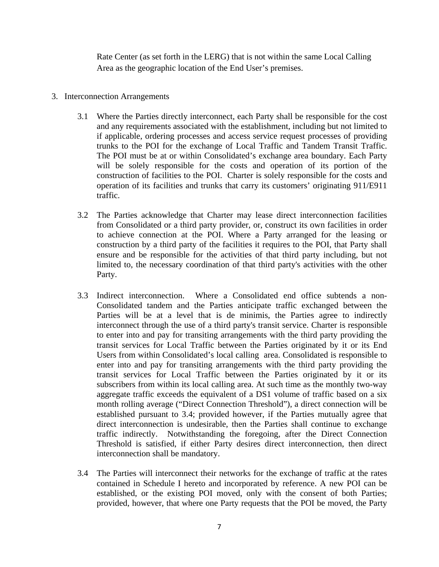Rate Center (as set forth in the LERG) that is not within the same Local Calling Area as the geographic location of the End User's premises.

# 3. Interconnection Arrangements

- 3.1 Where the Parties directly interconnect, each Party shall be responsible for the cost and any requirements associated with the establishment, including but not limited to if applicable, ordering processes and access service request processes of providing trunks to the POI for the exchange of Local Traffic and Tandem Transit Traffic. The POI must be at or within Consolidated's exchange area boundary. Each Party will be solely responsible for the costs and operation of its portion of the construction of facilities to the POI. Charter is solely responsible for the costs and operation of its facilities and trunks that carry its customers' originating 911/E911 traffic.
- 3.2 The Parties acknowledge that Charter may lease direct interconnection facilities from Consolidated or a third party provider, or, construct its own facilities in order to achieve connection at the POI. Where a Party arranged for the leasing or construction by a third party of the facilities it requires to the POI, that Party shall ensure and be responsible for the activities of that third party including, but not limited to, the necessary coordination of that third party's activities with the other Party.
- 3.3 Indirect interconnection. Where a Consolidated end office subtends a non-Consolidated tandem and the Parties anticipate traffic exchanged between the Parties will be at a level that is de minimis, the Parties agree to indirectly interconnect through the use of a third party's transit service. Charter is responsible to enter into and pay for transiting arrangements with the third party providing the transit services for Local Traffic between the Parties originated by it or its End Users from within Consolidated's local calling area. Consolidated is responsible to enter into and pay for transiting arrangements with the third party providing the transit services for Local Traffic between the Parties originated by it or its subscribers from within its local calling area. At such time as the monthly two-way aggregate traffic exceeds the equivalent of a DS1 volume of traffic based on a six month rolling average ("Direct Connection Threshold"), a direct connection will be established pursuant to 3.4; provided however, if the Parties mutually agree that direct interconnection is undesirable, then the Parties shall continue to exchange traffic indirectly. Notwithstanding the foregoing, after the Direct Connection Threshold is satisfied, if either Party desires direct interconnection, then direct interconnection shall be mandatory.
- 3.4 The Parties will interconnect their networks for the exchange of traffic at the rates contained in Schedule I hereto and incorporated by reference. A new POI can be established, or the existing POI moved, only with the consent of both Parties; provided, however, that where one Party requests that the POI be moved, the Party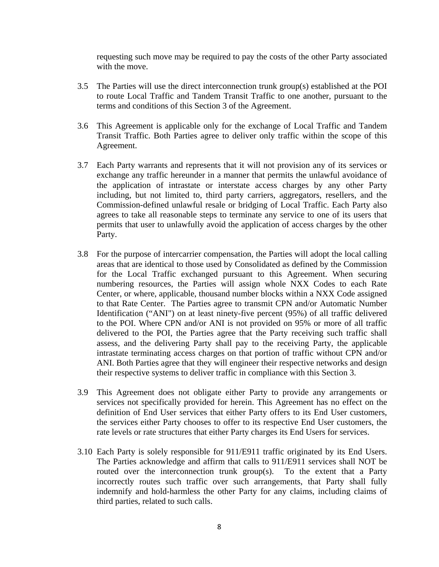requesting such move may be required to pay the costs of the other Party associated with the move.

- 3.5 The Parties will use the direct interconnection trunk group(s) established at the POI to route Local Traffic and Tandem Transit Traffic to one another, pursuant to the terms and conditions of this Section 3 of the Agreement.
- 3.6 This Agreement is applicable only for the exchange of Local Traffic and Tandem Transit Traffic. Both Parties agree to deliver only traffic within the scope of this Agreement.
- 3.7 Each Party warrants and represents that it will not provision any of its services or exchange any traffic hereunder in a manner that permits the unlawful avoidance of the application of intrastate or interstate access charges by any other Party including, but not limited to, third party carriers, aggregators, resellers, and the Commission-defined unlawful resale or bridging of Local Traffic. Each Party also agrees to take all reasonable steps to terminate any service to one of its users that permits that user to unlawfully avoid the application of access charges by the other Party.
- 3.8 For the purpose of intercarrier compensation, the Parties will adopt the local calling areas that are identical to those used by Consolidated as defined by the Commission for the Local Traffic exchanged pursuant to this Agreement. When securing numbering resources, the Parties will assign whole NXX Codes to each Rate Center, or where, applicable, thousand number blocks within a NXX Code assigned to that Rate Center. The Parties agree to transmit CPN and/or Automatic Number Identification ("ANI") on at least ninety-five percent (95%) of all traffic delivered to the POI. Where CPN and/or ANI is not provided on 95% or more of all traffic delivered to the POI, the Parties agree that the Party receiving such traffic shall assess, and the delivering Party shall pay to the receiving Party, the applicable intrastate terminating access charges on that portion of traffic without CPN and/or ANI. Both Parties agree that they will engineer their respective networks and design their respective systems to deliver traffic in compliance with this Section 3.
- 3.9 This Agreement does not obligate either Party to provide any arrangements or services not specifically provided for herein. This Agreement has no effect on the definition of End User services that either Party offers to its End User customers, the services either Party chooses to offer to its respective End User customers, the rate levels or rate structures that either Party charges its End Users for services.
- 3.10 Each Party is solely responsible for 911/E911 traffic originated by its End Users. The Parties acknowledge and affirm that calls to 911/E911 services shall NOT be routed over the interconnection trunk group(s). To the extent that a Party incorrectly routes such traffic over such arrangements, that Party shall fully indemnify and hold-harmless the other Party for any claims, including claims of third parties, related to such calls.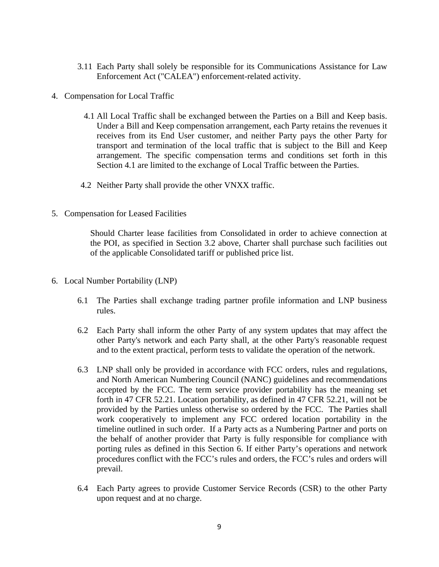- 3.11 Each Party shall solely be responsible for its Communications Assistance for Law Enforcement Act ("CALEA") enforcement-related activity.
- 4. Compensation for Local Traffic
	- 4.1 All Local Traffic shall be exchanged between the Parties on a Bill and Keep basis. Under a Bill and Keep compensation arrangement, each Party retains the revenues it receives from its End User customer, and neither Party pays the other Party for transport and termination of the local traffic that is subject to the Bill and Keep arrangement. The specific compensation terms and conditions set forth in this Section 4.1 are limited to the exchange of Local Traffic between the Parties.
	- 4.2 Neither Party shall provide the other VNXX traffic.
- 5. Compensation for Leased Facilities

Should Charter lease facilities from Consolidated in order to achieve connection at the POI, as specified in Section 3.2 above, Charter shall purchase such facilities out of the applicable Consolidated tariff or published price list.

- 6. Local Number Portability (LNP)
	- 6.1 The Parties shall exchange trading partner profile information and LNP business rules.
	- 6.2 Each Party shall inform the other Party of any system updates that may affect the other Party's network and each Party shall, at the other Party's reasonable request and to the extent practical, perform tests to validate the operation of the network.
	- 6.3 LNP shall only be provided in accordance with FCC orders, rules and regulations, and North American Numbering Council (NANC) guidelines and recommendations accepted by the FCC. The term service provider portability has the meaning set forth in 47 CFR 52.21. Location portability, as defined in 47 CFR 52.21, will not be provided by the Parties unless otherwise so ordered by the FCC. The Parties shall work cooperatively to implement any FCC ordered location portability in the timeline outlined in such order. If a Party acts as a Numbering Partner and ports on the behalf of another provider that Party is fully responsible for compliance with porting rules as defined in this Section 6. If either Party's operations and network procedures conflict with the FCC's rules and orders, the FCC's rules and orders will prevail.
	- 6.4 Each Party agrees to provide Customer Service Records (CSR) to the other Party upon request and at no charge.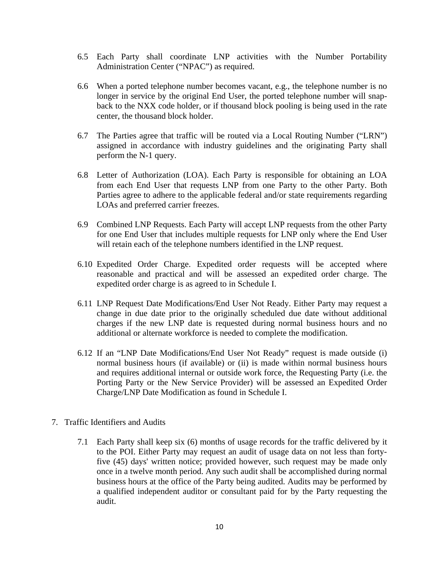- 6.5 Each Party shall coordinate LNP activities with the Number Portability Administration Center ("NPAC") as required.
- 6.6 When a ported telephone number becomes vacant, e.g., the telephone number is no longer in service by the original End User, the ported telephone number will snapback to the NXX code holder, or if thousand block pooling is being used in the rate center, the thousand block holder.
- 6.7 The Parties agree that traffic will be routed via a Local Routing Number ("LRN") assigned in accordance with industry guidelines and the originating Party shall perform the N-1 query.
- 6.8 Letter of Authorization (LOA). Each Party is responsible for obtaining an LOA from each End User that requests LNP from one Party to the other Party. Both Parties agree to adhere to the applicable federal and/or state requirements regarding LOAs and preferred carrier freezes.
- 6.9 Combined LNP Requests. Each Party will accept LNP requests from the other Party for one End User that includes multiple requests for LNP only where the End User will retain each of the telephone numbers identified in the LNP request.
- 6.10 Expedited Order Charge. Expedited order requests will be accepted where reasonable and practical and will be assessed an expedited order charge. The expedited order charge is as agreed to in Schedule I.
- 6.11 LNP Request Date Modifications/End User Not Ready. Either Party may request a change in due date prior to the originally scheduled due date without additional charges if the new LNP date is requested during normal business hours and no additional or alternate workforce is needed to complete the modification.
- 6.12 If an "LNP Date Modifications/End User Not Ready" request is made outside (i) normal business hours (if available) or (ii) is made within normal business hours and requires additional internal or outside work force, the Requesting Party (i.e. the Porting Party or the New Service Provider) will be assessed an Expedited Order Charge/LNP Date Modification as found in Schedule I.
- 7. Traffic Identifiers and Audits
	- 7.1 Each Party shall keep six (6) months of usage records for the traffic delivered by it to the POI. Either Party may request an audit of usage data on not less than fortyfive (45) days' written notice; provided however, such request may be made only once in a twelve month period. Any such audit shall be accomplished during normal business hours at the office of the Party being audited. Audits may be performed by a qualified independent auditor or consultant paid for by the Party requesting the audit.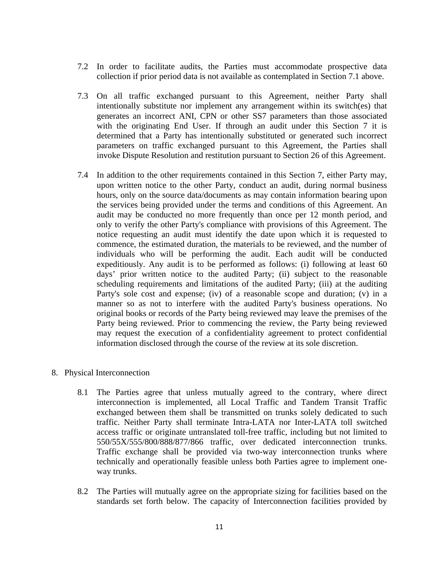- 7.2 In order to facilitate audits, the Parties must accommodate prospective data collection if prior period data is not available as contemplated in Section 7.1 above.
- 7.3 On all traffic exchanged pursuant to this Agreement, neither Party shall intentionally substitute nor implement any arrangement within its switch(es) that generates an incorrect ANI, CPN or other SS7 parameters than those associated with the originating End User. If through an audit under this Section 7 it is determined that a Party has intentionally substituted or generated such incorrect parameters on traffic exchanged pursuant to this Agreement, the Parties shall invoke Dispute Resolution and restitution pursuant to Section 26 of this Agreement.
- 7.4 In addition to the other requirements contained in this Section 7, either Party may, upon written notice to the other Party, conduct an audit, during normal business hours, only on the source data/documents as may contain information bearing upon the services being provided under the terms and conditions of this Agreement. An audit may be conducted no more frequently than once per 12 month period, and only to verify the other Party's compliance with provisions of this Agreement. The notice requesting an audit must identify the date upon which it is requested to commence, the estimated duration, the materials to be reviewed, and the number of individuals who will be performing the audit. Each audit will be conducted expeditiously. Any audit is to be performed as follows: (i) following at least 60 days' prior written notice to the audited Party; (ii) subject to the reasonable scheduling requirements and limitations of the audited Party; (iii) at the auditing Party's sole cost and expense; (iv) of a reasonable scope and duration; (v) in a manner so as not to interfere with the audited Party's business operations. No original books or records of the Party being reviewed may leave the premises of the Party being reviewed. Prior to commencing the review, the Party being reviewed may request the execution of a confidentiality agreement to protect confidential information disclosed through the course of the review at its sole discretion.
- 8. Physical Interconnection
	- 8.1 The Parties agree that unless mutually agreed to the contrary, where direct interconnection is implemented, all Local Traffic and Tandem Transit Traffic exchanged between them shall be transmitted on trunks solely dedicated to such traffic. Neither Party shall terminate Intra-LATA nor Inter-LATA toll switched access traffic or originate untranslated toll-free traffic, including but not limited to 550/55X/555/800/888/877/866 traffic, over dedicated interconnection trunks. Traffic exchange shall be provided via two-way interconnection trunks where technically and operationally feasible unless both Parties agree to implement oneway trunks.
	- 8.2 The Parties will mutually agree on the appropriate sizing for facilities based on the standards set forth below. The capacity of Interconnection facilities provided by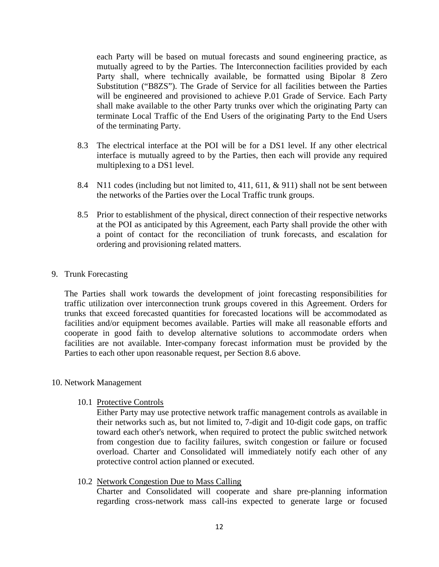each Party will be based on mutual forecasts and sound engineering practice, as mutually agreed to by the Parties. The Interconnection facilities provided by each Party shall, where technically available, be formatted using Bipolar 8 Zero Substitution ("B8ZS"). The Grade of Service for all facilities between the Parties will be engineered and provisioned to achieve P.01 Grade of Service. Each Party shall make available to the other Party trunks over which the originating Party can terminate Local Traffic of the End Users of the originating Party to the End Users of the terminating Party.

- 8.3 The electrical interface at the POI will be for a DS1 level. If any other electrical interface is mutually agreed to by the Parties, then each will provide any required multiplexing to a DS1 level.
- 8.4 N11 codes (including but not limited to, 411, 611, & 911) shall not be sent between the networks of the Parties over the Local Traffic trunk groups.
- 8.5 Prior to establishment of the physical, direct connection of their respective networks at the POI as anticipated by this Agreement, each Party shall provide the other with a point of contact for the reconciliation of trunk forecasts, and escalation for ordering and provisioning related matters.

## 9. Trunk Forecasting

The Parties shall work towards the development of joint forecasting responsibilities for traffic utilization over interconnection trunk groups covered in this Agreement. Orders for trunks that exceed forecasted quantities for forecasted locations will be accommodated as facilities and/or equipment becomes available. Parties will make all reasonable efforts and cooperate in good faith to develop alternative solutions to accommodate orders when facilities are not available. Inter-company forecast information must be provided by the Parties to each other upon reasonable request, per Section 8.6 above.

#### 10. Network Management

#### 10.1 Protective Controls

Either Party may use protective network traffic management controls as available in their networks such as, but not limited to, 7-digit and 10-digit code gaps, on traffic toward each other's network, when required to protect the public switched network from congestion due to facility failures, switch congestion or failure or focused overload. Charter and Consolidated will immediately notify each other of any protective control action planned or executed.

10.2 Network Congestion Due to Mass Calling

Charter and Consolidated will cooperate and share pre-planning information regarding cross-network mass call-ins expected to generate large or focused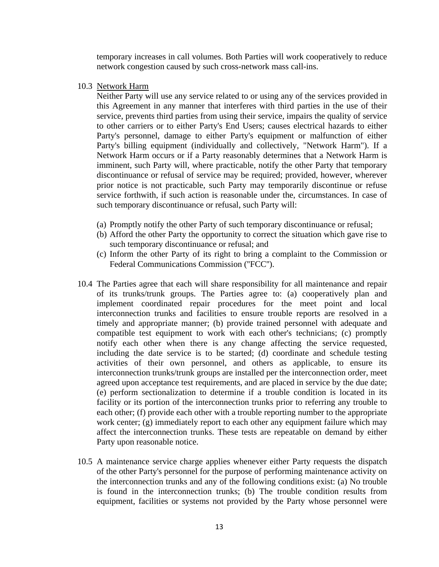temporary increases in call volumes. Both Parties will work cooperatively to reduce network congestion caused by such cross-network mass call-ins.

10.3 Network Harm

Neither Party will use any service related to or using any of the services provided in this Agreement in any manner that interferes with third parties in the use of their service, prevents third parties from using their service, impairs the quality of service to other carriers or to either Party's End Users; causes electrical hazards to either Party's personnel, damage to either Party's equipment or malfunction of either Party's billing equipment (individually and collectively, "Network Harm"). If a Network Harm occurs or if a Party reasonably determines that a Network Harm is imminent, such Party will, where practicable, notify the other Party that temporary discontinuance or refusal of service may be required; provided, however, wherever prior notice is not practicable, such Party may temporarily discontinue or refuse service forthwith, if such action is reasonable under the, circumstances. In case of such temporary discontinuance or refusal, such Party will:

- (a) Promptly notify the other Party of such temporary discontinuance or refusal;
- (b) Afford the other Party the opportunity to correct the situation which gave rise to such temporary discontinuance or refusal; and
- (c) Inform the other Party of its right to bring a complaint to the Commission or Federal Communications Commission (''FCC'').
- 10.4 The Parties agree that each will share responsibility for all maintenance and repair of its trunks/trunk groups. The Parties agree to: (a) cooperatively plan and implement coordinated repair procedures for the meet point and local interconnection trunks and facilities to ensure trouble reports are resolved in a timely and appropriate manner; (b) provide trained personnel with adequate and compatible test equipment to work with each other's technicians; (c) promptly notify each other when there is any change affecting the service requested, including the date service is to be started; (d) coordinate and schedule testing activities of their own personnel, and others as applicable, to ensure its interconnection trunks/trunk groups are installed per the interconnection order, meet agreed upon acceptance test requirements, and are placed in service by the due date; (e) perform sectionalization to determine if a trouble condition is located in its facility or its portion of the interconnection trunks prior to referring any trouble to each other; (f) provide each other with a trouble reporting number to the appropriate work center; (g) immediately report to each other any equipment failure which may affect the interconnection trunks. These tests are repeatable on demand by either Party upon reasonable notice.
- 10.5 A maintenance service charge applies whenever either Party requests the dispatch of the other Party's personnel for the purpose of performing maintenance activity on the interconnection trunks and any of the following conditions exist: (a) No trouble is found in the interconnection trunks; (b) The trouble condition results from equipment, facilities or systems not provided by the Party whose personnel were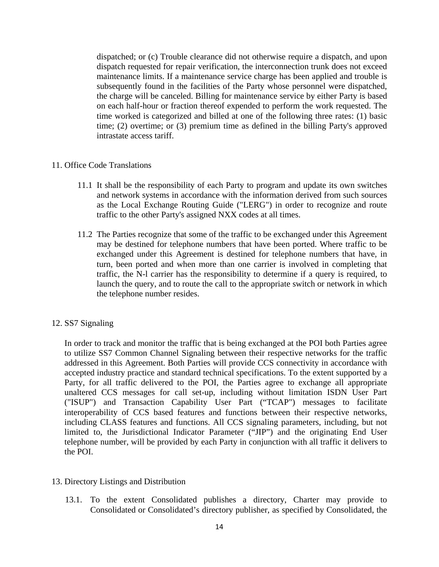dispatched; or (c) Trouble clearance did not otherwise require a dispatch, and upon dispatch requested for repair verification, the interconnection trunk does not exceed maintenance limits. If a maintenance service charge has been applied and trouble is subsequently found in the facilities of the Party whose personnel were dispatched, the charge will be canceled. Billing for maintenance service by either Party is based on each half-hour or fraction thereof expended to perform the work requested. The time worked is categorized and billed at one of the following three rates: (1) basic time; (2) overtime; or (3) premium time as defined in the billing Party's approved intrastate access tariff.

## 11. Office Code Translations

- 11.1 It shall be the responsibility of each Party to program and update its own switches and network systems in accordance with the information derived from such sources as the Local Exchange Routing Guide ("LERG") in order to recognize and route traffic to the other Party's assigned NXX codes at all times.
- 11.2 The Parties recognize that some of the traffic to be exchanged under this Agreement may be destined for telephone numbers that have been ported. Where traffic to be exchanged under this Agreement is destined for telephone numbers that have, in turn, been ported and when more than one carrier is involved in completing that traffic, the N-l carrier has the responsibility to determine if a query is required, to launch the query, and to route the call to the appropriate switch or network in which the telephone number resides.

# 12. SS7 Signaling

In order to track and monitor the traffic that is being exchanged at the POI both Parties agree to utilize SS7 Common Channel Signaling between their respective networks for the traffic addressed in this Agreement. Both Parties will provide CCS connectivity in accordance with accepted industry practice and standard technical specifications. To the extent supported by a Party, for all traffic delivered to the POI, the Parties agree to exchange all appropriate unaltered CCS messages for call set-up, including without limitation ISDN User Part ("ISUP") and Transaction Capability User Part ("TCAP") messages to facilitate interoperability of CCS based features and functions between their respective networks, including CLASS features and functions. All CCS signaling parameters, including, but not limited to, the Jurisdictional Indicator Parameter ("JIP") and the originating End User telephone number, will be provided by each Party in conjunction with all traffic it delivers to the POI.

- 13. Directory Listings and Distribution
	- 13.1. To the extent Consolidated publishes a directory, Charter may provide to Consolidated or Consolidated's directory publisher, as specified by Consolidated, the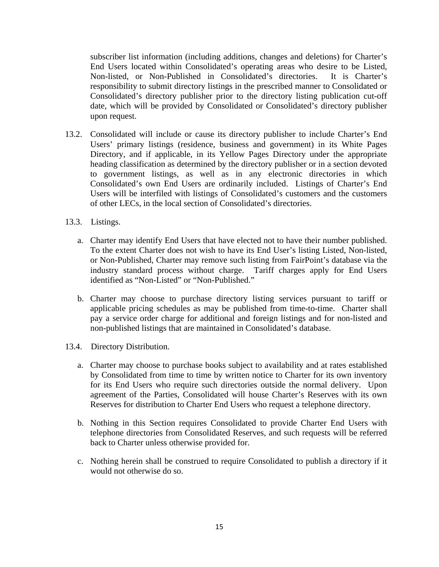subscriber list information (including additions, changes and deletions) for Charter's End Users located within Consolidated's operating areas who desire to be Listed, Non-listed, or Non-Published in Consolidated's directories. It is Charter's responsibility to submit directory listings in the prescribed manner to Consolidated or Consolidated's directory publisher prior to the directory listing publication cut-off date, which will be provided by Consolidated or Consolidated's directory publisher upon request.

- 13.2. Consolidated will include or cause its directory publisher to include Charter's End Users' primary listings (residence, business and government) in its White Pages Directory, and if applicable, in its Yellow Pages Directory under the appropriate heading classification as determined by the directory publisher or in a section devoted to government listings, as well as in any electronic directories in which Consolidated's own End Users are ordinarily included. Listings of Charter's End Users will be interfiled with listings of Consolidated's customers and the customers of other LECs, in the local section of Consolidated's directories.
- 13.3. Listings.
	- a. Charter may identify End Users that have elected not to have their number published. To the extent Charter does not wish to have its End User's listing Listed, Non-listed, or Non-Published, Charter may remove such listing from FairPoint's database via the industry standard process without charge. Tariff charges apply for End Users identified as "Non-Listed" or "Non-Published."
	- b. Charter may choose to purchase directory listing services pursuant to tariff or applicable pricing schedules as may be published from time-to-time. Charter shall pay a service order charge for additional and foreign listings and for non-listed and non-published listings that are maintained in Consolidated's database.
- 13.4. Directory Distribution.
	- a. Charter may choose to purchase books subject to availability and at rates established by Consolidated from time to time by written notice to Charter for its own inventory for its End Users who require such directories outside the normal delivery. Upon agreement of the Parties, Consolidated will house Charter's Reserves with its own Reserves for distribution to Charter End Users who request a telephone directory.
	- b. Nothing in this Section requires Consolidated to provide Charter End Users with telephone directories from Consolidated Reserves, and such requests will be referred back to Charter unless otherwise provided for.
	- c. Nothing herein shall be construed to require Consolidated to publish a directory if it would not otherwise do so.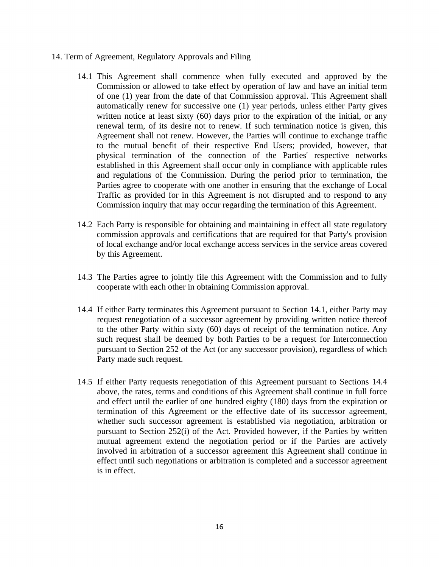- 14. Term of Agreement, Regulatory Approvals and Filing
	- 14.1 This Agreement shall commence when fully executed and approved by the Commission or allowed to take effect by operation of law and have an initial term of one (1) year from the date of that Commission approval. This Agreement shall automatically renew for successive one (1) year periods, unless either Party gives written notice at least sixty (60) days prior to the expiration of the initial, or any renewal term, of its desire not to renew. If such termination notice is given, this Agreement shall not renew. However, the Parties will continue to exchange traffic to the mutual benefit of their respective End Users; provided, however, that physical termination of the connection of the Parties' respective networks established in this Agreement shall occur only in compliance with applicable rules and regulations of the Commission. During the period prior to termination, the Parties agree to cooperate with one another in ensuring that the exchange of Local Traffic as provided for in this Agreement is not disrupted and to respond to any Commission inquiry that may occur regarding the termination of this Agreement.
	- 14.2 Each Party is responsible for obtaining and maintaining in effect all state regulatory commission approvals and certifications that are required for that Party's provision of local exchange and/or local exchange access services in the service areas covered by this Agreement.
	- 14.3 The Parties agree to jointly file this Agreement with the Commission and to fully cooperate with each other in obtaining Commission approval.
	- 14.4 If either Party terminates this Agreement pursuant to Section 14.1, either Party may request renegotiation of a successor agreement by providing written notice thereof to the other Party within sixty (60) days of receipt of the termination notice. Any such request shall be deemed by both Parties to be a request for Interconnection pursuant to Section 252 of the Act (or any successor provision), regardless of which Party made such request.
	- 14.5 If either Party requests renegotiation of this Agreement pursuant to Sections 14.4 above, the rates, terms and conditions of this Agreement shall continue in full force and effect until the earlier of one hundred eighty (180) days from the expiration or termination of this Agreement or the effective date of its successor agreement, whether such successor agreement is established via negotiation, arbitration or pursuant to Section 252(i) of the Act. Provided however, if the Parties by written mutual agreement extend the negotiation period or if the Parties are actively involved in arbitration of a successor agreement this Agreement shall continue in effect until such negotiations or arbitration is completed and a successor agreement is in effect.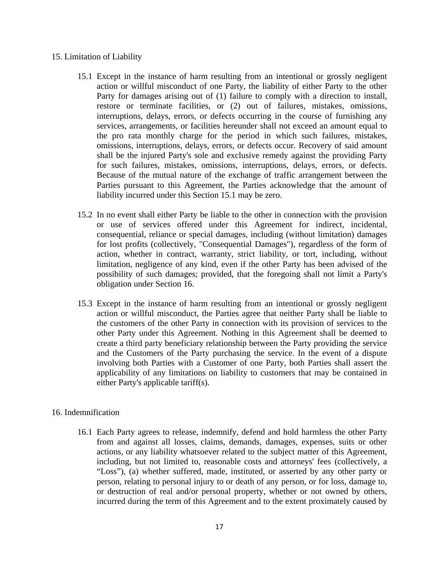## 15. Limitation of Liability

- 15.1 Except in the instance of harm resulting from an intentional or grossly negligent action or willful misconduct of one Party, the liability of either Party to the other Party for damages arising out of (1) failure to comply with a direction to install, restore or terminate facilities, or (2) out of failures, mistakes, omissions, interruptions, delays, errors, or defects occurring in the course of furnishing any services, arrangements, or facilities hereunder shall not exceed an amount equal to the pro rata monthly charge for the period in which such failures, mistakes, omissions, interruptions, delays, errors, or defects occur. Recovery of said amount shall be the injured Party's sole and exclusive remedy against the providing Party for such failures, mistakes, omissions, interruptions, delays, errors, or defects. Because of the mutual nature of the exchange of traffic arrangement between the Parties pursuant to this Agreement, the Parties acknowledge that the amount of liability incurred under this Section 15.1 may be zero.
- 15.2 In no event shall either Party be liable to the other in connection with the provision or use of services offered under this Agreement for indirect, incidental, consequential, reliance or special damages, including (without limitation) damages for lost profits (collectively, "Consequential Damages"), regardless of the form of action, whether in contract, warranty, strict liability, or tort, including, without limitation, negligence of any kind, even if the other Party has been advised of the possibility of such damages; provided, that the foregoing shall not limit a Party's obligation under Section 16.
- 15.3 Except in the instance of harm resulting from an intentional or grossly negligent action or willful misconduct, the Parties agree that neither Party shall be liable to the customers of the other Party in connection with its provision of services to the other Party under this Agreement. Nothing in this Agreement shall be deemed to create a third party beneficiary relationship between the Party providing the service and the Customers of the Party purchasing the service. In the event of a dispute involving both Parties with a Customer of one Party, both Parties shall assert the applicability of any limitations on liability to customers that may be contained in either Party's applicable tariff(s).

# 16. Indemnification

16.1 Each Party agrees to release, indemnify, defend and hold harmless the other Party from and against all losses, claims, demands, damages, expenses, suits or other actions, or any liability whatsoever related to the subject matter of this Agreement, including, but not limited to, reasonable costs and attorneys' fees (collectively, a "Loss"), (a) whether suffered, made, instituted, or asserted by any other party or person, relating to personal injury to or death of any person, or for loss, damage to, or destruction of real and/or personal property, whether or not owned by others, incurred during the term of this Agreement and to the extent proximately caused by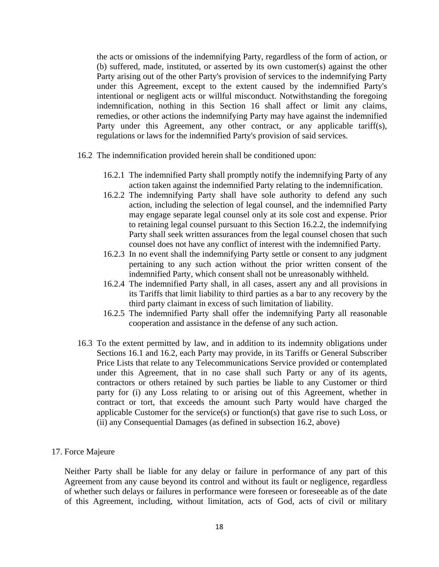the acts or omissions of the indemnifying Party, regardless of the form of action, or (b) suffered, made, instituted, or asserted by its own customer(s) against the other Party arising out of the other Party's provision of services to the indemnifying Party under this Agreement, except to the extent caused by the indemnified Party's intentional or negligent acts or willful misconduct. Notwithstanding the foregoing indemnification, nothing in this Section 16 shall affect or limit any claims, remedies, or other actions the indemnifying Party may have against the indemnified Party under this Agreement, any other contract, or any applicable tariff(s), regulations or laws for the indemnified Party's provision of said services.

- 16.2 The indemnification provided herein shall be conditioned upon:
	- 16.2.1 The indemnified Party shall promptly notify the indemnifying Party of any action taken against the indemnified Party relating to the indemnification.
	- 16.2.2 The indemnifying Party shall have sole authority to defend any such action, including the selection of legal counsel, and the indemnified Party may engage separate legal counsel only at its sole cost and expense. Prior to retaining legal counsel pursuant to this Section 16.2.2, the indemnifying Party shall seek written assurances from the legal counsel chosen that such counsel does not have any conflict of interest with the indemnified Party.
	- 16.2.3 In no event shall the indemnifying Party settle or consent to any judgment pertaining to any such action without the prior written consent of the indemnified Party, which consent shall not be unreasonably withheld.
	- 16.2.4 The indemnified Party shall, in all cases, assert any and all provisions in its Tariffs that limit liability to third parties as a bar to any recovery by the third party claimant in excess of such limitation of liability.
	- 16.2.5 The indemnified Party shall offer the indemnifying Party all reasonable cooperation and assistance in the defense of any such action.
- 16.3 To the extent permitted by law, and in addition to its indemnity obligations under Sections 16.1 and 16.2, each Party may provide, in its Tariffs or General Subscriber Price Lists that relate to any Telecommunications Service provided or contemplated under this Agreement, that in no case shall such Party or any of its agents, contractors or others retained by such parties be liable to any Customer or third party for (i) any Loss relating to or arising out of this Agreement, whether in contract or tort, that exceeds the amount such Party would have charged the applicable Customer for the service(s) or function(s) that gave rise to such Loss, or (ii) any Consequential Damages (as defined in subsection 16.2, above)
- 17. Force Majeure

Neither Party shall be liable for any delay or failure in performance of any part of this Agreement from any cause beyond its control and without its fault or negligence, regardless of whether such delays or failures in performance were foreseen or foreseeable as of the date of this Agreement, including, without limitation, acts of God, acts of civil or military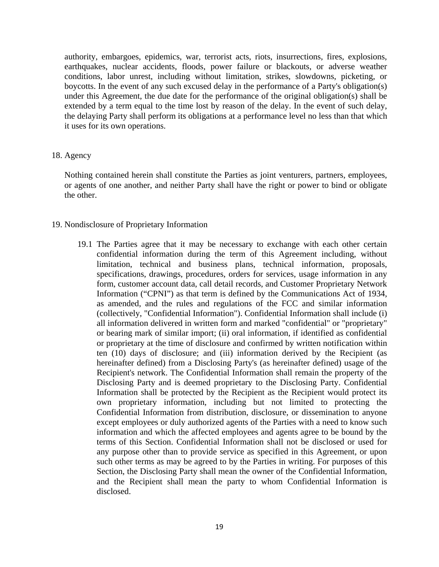authority, embargoes, epidemics, war, terrorist acts, riots, insurrections, fires, explosions, earthquakes, nuclear accidents, floods, power failure or blackouts, or adverse weather conditions, labor unrest, including without limitation, strikes, slowdowns, picketing, or boycotts. In the event of any such excused delay in the performance of a Party's obligation(s) under this Agreement, the due date for the performance of the original obligation(s) shall be extended by a term equal to the time lost by reason of the delay. In the event of such delay, the delaying Party shall perform its obligations at a performance level no less than that which it uses for its own operations.

#### 18. Agency

Nothing contained herein shall constitute the Parties as joint venturers, partners, employees, or agents of one another, and neither Party shall have the right or power to bind or obligate the other.

# 19. Nondisclosure of Proprietary Information

19.1 The Parties agree that it may be necessary to exchange with each other certain confidential information during the term of this Agreement including, without limitation, technical and business plans, technical information, proposals, specifications, drawings, procedures, orders for services, usage information in any form, customer account data, call detail records, and Customer Proprietary Network Information ("CPNI") as that term is defined by the Communications Act of 1934, as amended, and the rules and regulations of the FCC and similar information (collectively, "Confidential Information"). Confidential Information shall include (i) all information delivered in written form and marked "confidential" or "proprietary" or bearing mark of similar import; (ii) oral information, if identified as confidential or proprietary at the time of disclosure and confirmed by written notification within ten (10) days of disclosure; and (iii) information derived by the Recipient (as hereinafter defined) from a Disclosing Party's (as hereinafter defined) usage of the Recipient's network. The Confidential Information shall remain the property of the Disclosing Party and is deemed proprietary to the Disclosing Party. Confidential Information shall be protected by the Recipient as the Recipient would protect its own proprietary information, including but not limited to protecting the Confidential Information from distribution, disclosure, or dissemination to anyone except employees or duly authorized agents of the Parties with a need to know such information and which the affected employees and agents agree to be bound by the terms of this Section. Confidential Information shall not be disclosed or used for any purpose other than to provide service as specified in this Agreement, or upon such other terms as may be agreed to by the Parties in writing. For purposes of this Section, the Disclosing Party shall mean the owner of the Confidential Information, and the Recipient shall mean the party to whom Confidential Information is disclosed.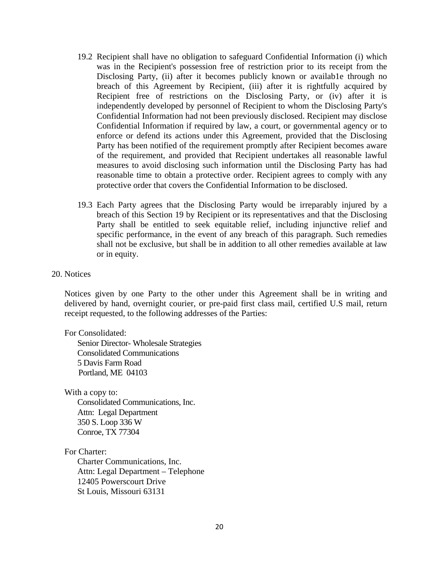- 19.2 Recipient shall have no obligation to safeguard Confidential Information (i) which was in the Recipient's possession free of restriction prior to its receipt from the Disclosing Party, (ii) after it becomes publicly known or available through no breach of this Agreement by Recipient, (iii) after it is rightfully acquired by Recipient free of restrictions on the Disclosing Party, or (iv) after it is independently developed by personnel of Recipient to whom the Disclosing Party's Confidential Information had not been previously disclosed. Recipient may disclose Confidential Information if required by law, a court, or governmental agency or to enforce or defend its actions under this Agreement, provided that the Disclosing Party has been notified of the requirement promptly after Recipient becomes aware of the requirement, and provided that Recipient undertakes all reasonable lawful measures to avoid disclosing such information until the Disclosing Party has had reasonable time to obtain a protective order. Recipient agrees to comply with any protective order that covers the Confidential Information to be disclosed.
- 19.3 Each Party agrees that the Disclosing Party would be irreparably injured by a breach of this Section 19 by Recipient or its representatives and that the Disclosing Party shall be entitled to seek equitable relief, including injunctive relief and specific performance, in the event of any breach of this paragraph. Such remedies shall not be exclusive, but shall be in addition to all other remedies available at law or in equity.

#### 20. Notices

Notices given by one Party to the other under this Agreement shall be in writing and delivered by hand, overnight courier, or pre-paid first class mail, certified U.S mail, return receipt requested, to the following addresses of the Parties:

For Consolidated:

Senior Director- Wholesale Strategies Consolidated Communications 5 Davis Farm Road Portland, ME 04103

With a copy to:

Consolidated Communications, Inc. Attn: Legal Department 350 S. Loop 336 W Conroe, TX 77304

For Charter:

Charter Communications, Inc. Attn: Legal Department – Telephone 12405 Powerscourt Drive St Louis, Missouri 63131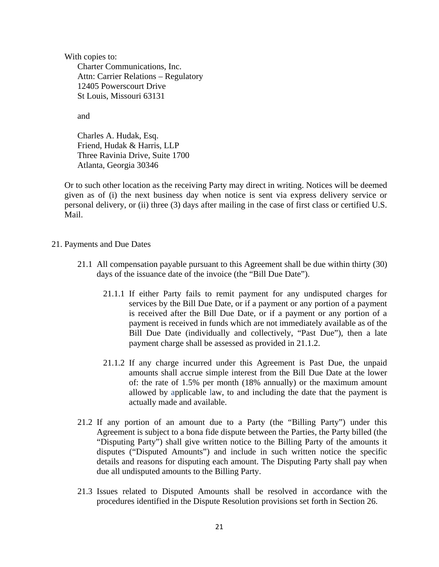With copies to: Charter Communications, Inc. Attn: Carrier Relations – Regulatory 12405 Powerscourt Drive St Louis, Missouri 63131

and

Charles A. Hudak, Esq. Friend, Hudak & Harris, LLP Three Ravinia Drive, Suite 1700 Atlanta, Georgia 30346

Or to such other location as the receiving Party may direct in writing. Notices will be deemed given as of (i) the next business day when notice is sent via express delivery service or personal delivery, or (ii) three (3) days after mailing in the case of first class or certified U.S. Mail.

- 21. Payments and Due Dates
	- 21.1 All compensation payable pursuant to this Agreement shall be due within thirty (30) days of the issuance date of the invoice (the "Bill Due Date").
		- 21.1.1 If either Party fails to remit payment for any undisputed charges for services by the Bill Due Date, or if a payment or any portion of a payment is received after the Bill Due Date, or if a payment or any portion of a payment is received in funds which are not immediately available as of the Bill Due Date (individually and collectively, "Past Due"), then a late payment charge shall be assessed as provided in 21.1.2.
		- 21.1.2 If any charge incurred under this Agreement is Past Due, the unpaid amounts shall accrue simple interest from the Bill Due Date at the lower of: the rate of 1.5% per month (18% annually) or the maximum amount allowed by applicable law, to and including the date that the payment is actually made and available.
	- 21.2 If any portion of an amount due to a Party (the "Billing Party") under this Agreement is subject to a bona fide dispute between the Parties, the Party billed (the "Disputing Party") shall give written notice to the Billing Party of the amounts it disputes ("Disputed Amounts") and include in such written notice the specific details and reasons for disputing each amount. The Disputing Party shall pay when due all undisputed amounts to the Billing Party.
	- 21.3 Issues related to Disputed Amounts shall be resolved in accordance with the procedures identified in the Dispute Resolution provisions set forth in Section 26.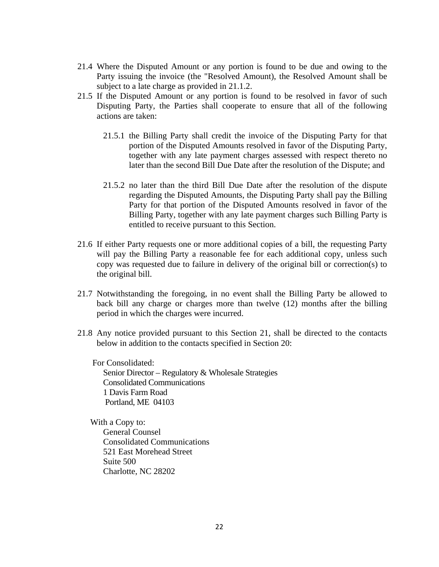- 21.4 Where the Disputed Amount or any portion is found to be due and owing to the Party issuing the invoice (the "Resolved Amount), the Resolved Amount shall be subject to a late charge as provided in 21.1.2.
- 21.5 If the Disputed Amount or any portion is found to be resolved in favor of such Disputing Party, the Parties shall cooperate to ensure that all of the following actions are taken:
	- 21.5.1 the Billing Party shall credit the invoice of the Disputing Party for that portion of the Disputed Amounts resolved in favor of the Disputing Party, together with any late payment charges assessed with respect thereto no later than the second Bill Due Date after the resolution of the Dispute; and
	- 21.5.2 no later than the third Bill Due Date after the resolution of the dispute regarding the Disputed Amounts, the Disputing Party shall pay the Billing Party for that portion of the Disputed Amounts resolved in favor of the Billing Party, together with any late payment charges such Billing Party is entitled to receive pursuant to this Section.
- 21.6 If either Party requests one or more additional copies of a bill, the requesting Party will pay the Billing Party a reasonable fee for each additional copy, unless such copy was requested due to failure in delivery of the original bill or correction(s) to the original bill.
- 21.7 Notwithstanding the foregoing, in no event shall the Billing Party be allowed to back bill any charge or charges more than twelve (12) months after the billing period in which the charges were incurred.
- 21.8 Any notice provided pursuant to this Section 21, shall be directed to the contacts below in addition to the contacts specified in Section 20:

 For Consolidated: Senior Director – Regulatory & Wholesale Strategies Consolidated Communications 1 Davis Farm Road Portland, ME 04103

With a Copy to: General Counsel Consolidated Communications 521 East Morehead Street Suite 500 Charlotte, NC 28202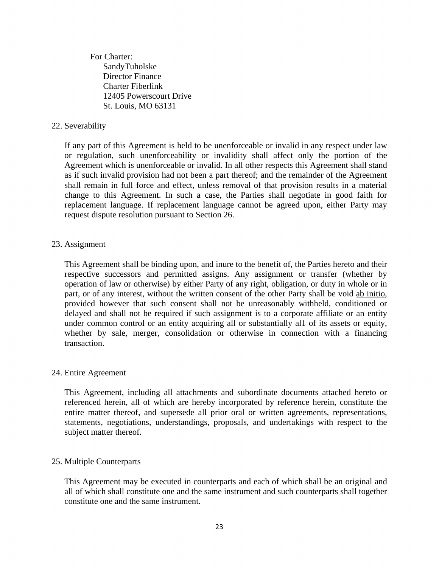For Charter: SandyTuholske Director Finance Charter Fiberlink 12405 Powerscourt Drive St. Louis, MO 63131

# 22. Severability

If any part of this Agreement is held to be unenforceable or invalid in any respect under law or regulation, such unenforceability or invalidity shall affect only the portion of the Agreement which is unenforceable or invalid. In all other respects this Agreement shall stand as if such invalid provision had not been a part thereof; and the remainder of the Agreement shall remain in full force and effect, unless removal of that provision results in a material change to this Agreement. In such a case, the Parties shall negotiate in good faith for replacement language. If replacement language cannot be agreed upon, either Party may request dispute resolution pursuant to Section 26.

## 23. Assignment

This Agreement shall be binding upon, and inure to the benefit of, the Parties hereto and their respective successors and permitted assigns. Any assignment or transfer (whether by operation of law or otherwise) by either Party of any right, obligation, or duty in whole or in part, or of any interest, without the written consent of the other Party shall be void ab initio, provided however that such consent shall not be unreasonably withheld, conditioned or delayed and shall not be required if such assignment is to a corporate affiliate or an entity under common control or an entity acquiring all or substantially al1 of its assets or equity, whether by sale, merger, consolidation or otherwise in connection with a financing transaction.

#### 24. Entire Agreement

This Agreement, including all attachments and subordinate documents attached hereto or referenced herein, all of which are hereby incorporated by reference herein, constitute the entire matter thereof, and supersede all prior oral or written agreements, representations, statements, negotiations, understandings, proposals, and undertakings with respect to the subject matter thereof.

#### 25. Multiple Counterparts

This Agreement may be executed in counterparts and each of which shall be an original and all of which shall constitute one and the same instrument and such counterparts shall together constitute one and the same instrument.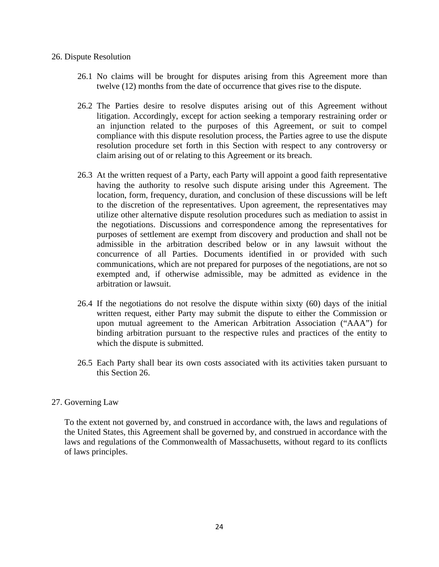#### 26. Dispute Resolution

- 26.1 No claims will be brought for disputes arising from this Agreement more than twelve (12) months from the date of occurrence that gives rise to the dispute.
- 26.2 The Parties desire to resolve disputes arising out of this Agreement without litigation. Accordingly, except for action seeking a temporary restraining order or an injunction related to the purposes of this Agreement, or suit to compel compliance with this dispute resolution process, the Parties agree to use the dispute resolution procedure set forth in this Section with respect to any controversy or claim arising out of or relating to this Agreement or its breach.
- 26.3 At the written request of a Party, each Party will appoint a good faith representative having the authority to resolve such dispute arising under this Agreement. The location, form, frequency, duration, and conclusion of these discussions will be left to the discretion of the representatives. Upon agreement, the representatives may utilize other alternative dispute resolution procedures such as mediation to assist in the negotiations. Discussions and correspondence among the representatives for purposes of settlement are exempt from discovery and production and shall not be admissible in the arbitration described below or in any lawsuit without the concurrence of all Parties. Documents identified in or provided with such communications, which are not prepared for purposes of the negotiations, are not so exempted and, if otherwise admissible, may be admitted as evidence in the arbitration or lawsuit.
- 26.4 If the negotiations do not resolve the dispute within sixty (60) days of the initial written request, either Party may submit the dispute to either the Commission or upon mutual agreement to the American Arbitration Association ("AAA") for binding arbitration pursuant to the respective rules and practices of the entity to which the dispute is submitted.
- 26.5 Each Party shall bear its own costs associated with its activities taken pursuant to this Section 26.

# 27. Governing Law

To the extent not governed by, and construed in accordance with, the laws and regulations of the United States, this Agreement shall be governed by, and construed in accordance with the laws and regulations of the Commonwealth of Massachusetts, without regard to its conflicts of laws principles.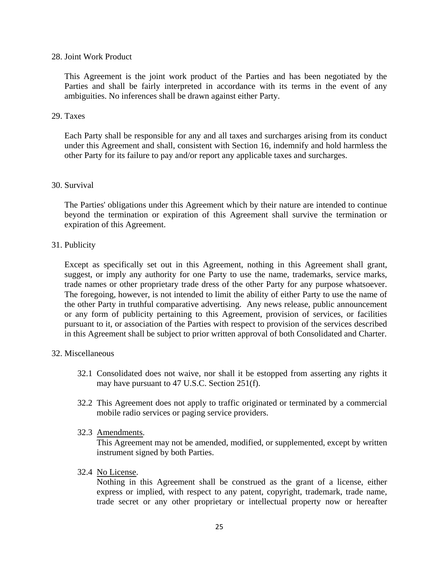## 28. Joint Work Product

This Agreement is the joint work product of the Parties and has been negotiated by the Parties and shall be fairly interpreted in accordance with its terms in the event of any ambiguities. No inferences shall be drawn against either Party.

## 29. Taxes

Each Party shall be responsible for any and all taxes and surcharges arising from its conduct under this Agreement and shall, consistent with Section 16, indemnify and hold harmless the other Party for its failure to pay and/or report any applicable taxes and surcharges.

# 30. Survival

The Parties' obligations under this Agreement which by their nature are intended to continue beyond the termination or expiration of this Agreement shall survive the termination or expiration of this Agreement.

# 31. Publicity

Except as specifically set out in this Agreement, nothing in this Agreement shall grant, suggest, or imply any authority for one Party to use the name, trademarks, service marks, trade names or other proprietary trade dress of the other Party for any purpose whatsoever. The foregoing, however, is not intended to limit the ability of either Party to use the name of the other Party in truthful comparative advertising. Any news release, public announcement or any form of publicity pertaining to this Agreement, provision of services, or facilities pursuant to it, or association of the Parties with respect to provision of the services described in this Agreement shall be subject to prior written approval of both Consolidated and Charter.

#### 32. Miscellaneous

- 32.1 Consolidated does not waive, nor shall it be estopped from asserting any rights it may have pursuant to 47 U.S.C. Section 251(f).
- 32.2 This Agreement does not apply to traffic originated or terminated by a commercial mobile radio services or paging service providers.
- 32.3 Amendments.

This Agreement may not be amended, modified, or supplemented, except by written instrument signed by both Parties.

32.4 No License.

Nothing in this Agreement shall be construed as the grant of a license, either express or implied, with respect to any patent, copyright, trademark, trade name, trade secret or any other proprietary or intellectual property now or hereafter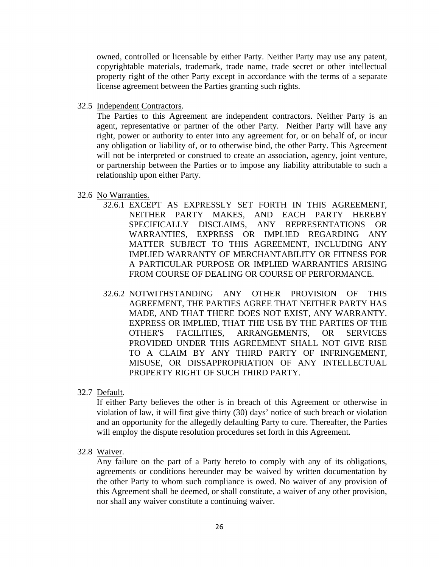owned, controlled or licensable by either Party. Neither Party may use any patent, copyrightable materials, trademark, trade name, trade secret or other intellectual property right of the other Party except in accordance with the terms of a separate license agreement between the Parties granting such rights.

32.5 Independent Contractors.

The Parties to this Agreement are independent contractors. Neither Party is an agent, representative or partner of the other Party. Neither Party will have any right, power or authority to enter into any agreement for, or on behalf of, or incur any obligation or liability of, or to otherwise bind, the other Party. This Agreement will not be interpreted or construed to create an association, agency, joint venture, or partnership between the Parties or to impose any liability attributable to such a relationship upon either Party.

#### 32.6 No Warranties.

- 32.6.1 EXCEPT AS EXPRESSLY SET FORTH IN THIS AGREEMENT, NEITHER PARTY MAKES, AND EACH PARTY HEREBY SPECIFICALLY DISCLAIMS, ANY REPRESENTATIONS OR WARRANTIES, EXPRESS OR IMPLIED REGARDING ANY MATTER SUBJECT TO THIS AGREEMENT, INCLUDING ANY IMPLIED WARRANTY OF MERCHANTABILITY OR FITNESS FOR A PARTICULAR PURPOSE OR IMPLIED WARRANTIES ARISING FROM COURSE OF DEALING OR COURSE OF PERFORMANCE.
- 32.6.2 NOTWITHSTANDING ANY OTHER PROVISION OF THIS AGREEMENT, THE PARTIES AGREE THAT NEITHER PARTY HAS MADE, AND THAT THERE DOES NOT EXIST, ANY WARRANTY. EXPRESS OR IMPLIED, THAT THE USE BY THE PARTIES OF THE OTHER'S FACILITIES, ARRANGEMENTS, OR SERVICES PROVIDED UNDER THIS AGREEMENT SHALL NOT GIVE RISE TO A CLAIM BY ANY THIRD PARTY OF INFRINGEMENT, MISUSE, OR DISSAPPROPRIATION OF ANY INTELLECTUAL PROPERTY RIGHT OF SUCH THIRD PARTY.
- 32.7 Default.

If either Party believes the other is in breach of this Agreement or otherwise in violation of law, it will first give thirty (30) days' notice of such breach or violation and an opportunity for the allegedly defaulting Party to cure. Thereafter, the Parties will employ the dispute resolution procedures set forth in this Agreement.

32.8 Waiver.

Any failure on the part of a Party hereto to comply with any of its obligations, agreements or conditions hereunder may be waived by written documentation by the other Party to whom such compliance is owed. No waiver of any provision of this Agreement shall be deemed, or shall constitute, a waiver of any other provision, nor shall any waiver constitute a continuing waiver.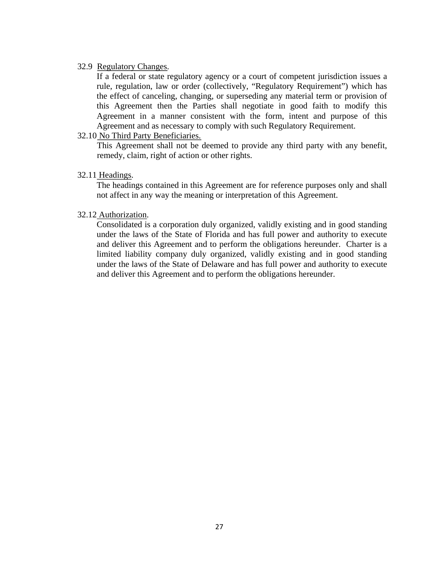## 32.9 Regulatory Changes.

If a federal or state regulatory agency or a court of competent jurisdiction issues a rule, regulation, law or order (collectively, "Regulatory Requirement") which has the effect of canceling, changing, or superseding any material term or provision of this Agreement then the Parties shall negotiate in good faith to modify this Agreement in a manner consistent with the form, intent and purpose of this Agreement and as necessary to comply with such Regulatory Requirement.

# 32.10 No Third Party Beneficiaries.

This Agreement shall not be deemed to provide any third party with any benefit, remedy, claim, right of action or other rights.

## 32.11 Headings.

The headings contained in this Agreement are for reference purposes only and shall not affect in any way the meaning or interpretation of this Agreement.

## 32.12 Authorization.

Consolidated is a corporation duly organized, validly existing and in good standing under the laws of the State of Florida and has full power and authority to execute and deliver this Agreement and to perform the obligations hereunder. Charter is a limited liability company duly organized, validly existing and in good standing under the laws of the State of Delaware and has full power and authority to execute and deliver this Agreement and to perform the obligations hereunder.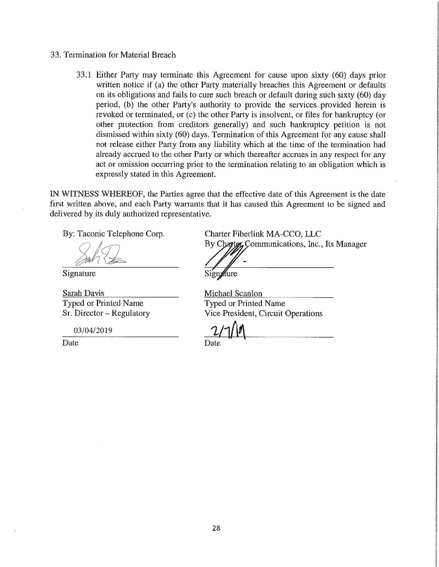### 33. Termination for Material Breach

33.1 Either Party may terminate this Agreement for cause upon sixty (60) days prior written notice if (a) the other Party materially breaches this Agreement or defaults on its obligations and fails to cure such breach or default during such sixty (60) day period, (b) the other Party's authority to provide the services provided herein is revoked or terminated, or (c) the other Party is insolvent, or files for bankruptcy (or other protection from creditors generally) and such bankruptcy petition is not dismissed within sixty (60) days. Termination of this Agreement for any cause shall not release either Party from any liability which at the time of the termination had already accrued to the other Party or which thereafter accrues in any respect for any act or omission occurring prior to the termination relating to an obligation which is expressly stated in this Agreement.

IN WITNESS WHEREOF, the Parties agree that the effective date of this Agreement is the date first written above, and each Party warrants that it has caused this Agreement to be signed and delivered by its duly authorized representative.

By: Taconic Telephone Corp.

*J/)z~* 

Signature

Sarah Davis Typed or Printed Name Sr. Director - Regulatory

03/04/2019

Date

Charter Fiberlink MA-CCO, LLC By Charter, Communications, Inc., Its Manager

Signature

Michael Scanlon Typed or Printed Name Vice President, Circuit Operations

 $1/10$ Date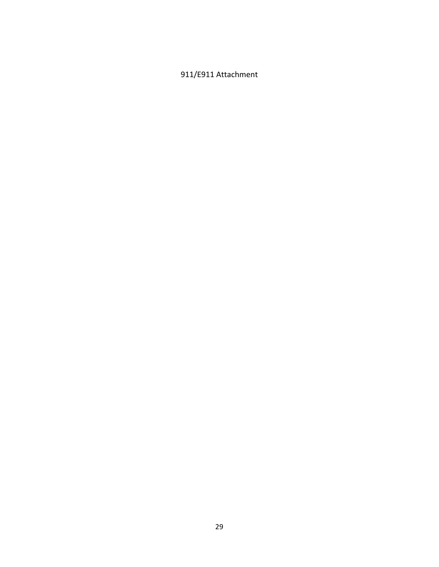# 911/E911 Attachment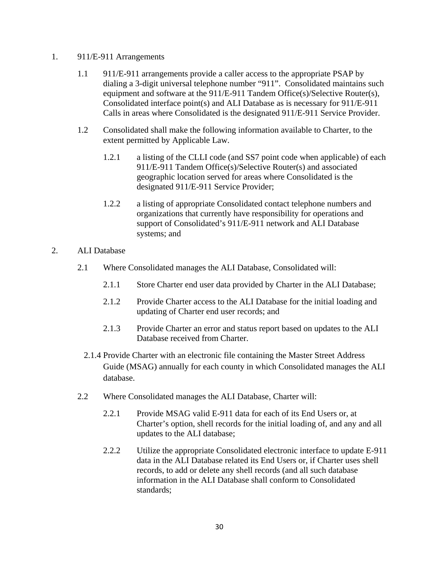# 1. 911/E-911 Arrangements

- 1.1 911/E-911 arrangements provide a caller access to the appropriate PSAP by dialing a 3-digit universal telephone number "911". Consolidated maintains such equipment and software at the 911/E-911 Tandem Office(s)/Selective Router(s), Consolidated interface point(s) and ALI Database as is necessary for 911/E-911 Calls in areas where Consolidated is the designated 911/E-911 Service Provider.
- 1.2 Consolidated shall make the following information available to Charter, to the extent permitted by Applicable Law.
	- 1.2.1 a listing of the CLLI code (and SS7 point code when applicable) of each 911/E-911 Tandem Office(s)/Selective Router(s) and associated geographic location served for areas where Consolidated is the designated 911/E-911 Service Provider;
	- 1.2.2 a listing of appropriate Consolidated contact telephone numbers and organizations that currently have responsibility for operations and support of Consolidated's 911/E-911 network and ALI Database systems; and
- 2. ALI Database
	- 2.1 Where Consolidated manages the ALI Database, Consolidated will:
		- 2.1.1 Store Charter end user data provided by Charter in the ALI Database;
		- 2.1.2 Provide Charter access to the ALI Database for the initial loading and updating of Charter end user records; and
		- 2.1.3 Provide Charter an error and status report based on updates to the ALI Database received from Charter.
		- 2.1.4 Provide Charter with an electronic file containing the Master Street Address Guide (MSAG) annually for each county in which Consolidated manages the ALI database.
	- 2.2 Where Consolidated manages the ALI Database, Charter will:
		- 2.2.1 Provide MSAG valid E-911 data for each of its End Users or, at Charter's option, shell records for the initial loading of, and any and all updates to the ALI database;
		- 2.2.2 Utilize the appropriate Consolidated electronic interface to update E-911 data in the ALI Database related its End Users or, if Charter uses shell records, to add or delete any shell records (and all such database information in the ALI Database shall conform to Consolidated standards;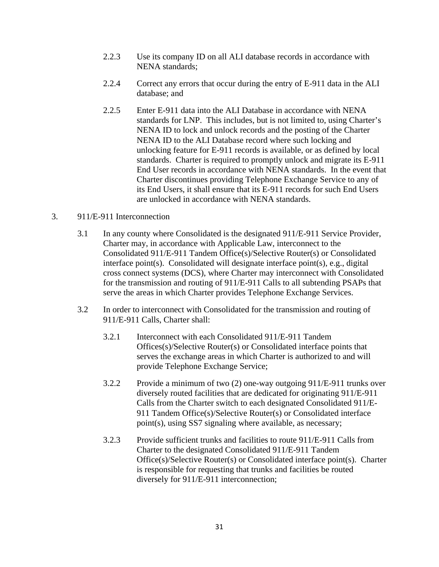- 2.2.3 Use its company ID on all ALI database records in accordance with NENA standards;
- 2.2.4 Correct any errors that occur during the entry of E-911 data in the ALI database; and
- 2.2.5 Enter E-911 data into the ALI Database in accordance with NENA standards for LNP. This includes, but is not limited to, using Charter's NENA ID to lock and unlock records and the posting of the Charter NENA ID to the ALI Database record where such locking and unlocking feature for E-911 records is available, or as defined by local standards. Charter is required to promptly unlock and migrate its E-911 End User records in accordance with NENA standards. In the event that Charter discontinues providing Telephone Exchange Service to any of its End Users, it shall ensure that its E-911 records for such End Users are unlocked in accordance with NENA standards.

# 3. 911/E-911 Interconnection

- 3.1 In any county where Consolidated is the designated 911/E-911 Service Provider, Charter may, in accordance with Applicable Law, interconnect to the Consolidated 911/E-911 Tandem Office(s)/Selective Router(s) or Consolidated interface point(s). Consolidated will designate interface point(s), e.g., digital cross connect systems (DCS), where Charter may interconnect with Consolidated for the transmission and routing of 911/E-911 Calls to all subtending PSAPs that serve the areas in which Charter provides Telephone Exchange Services.
- 3.2 In order to interconnect with Consolidated for the transmission and routing of 911/E-911 Calls, Charter shall:
	- 3.2.1 Interconnect with each Consolidated 911/E-911 Tandem Offices(s)/Selective Router(s) or Consolidated interface points that serves the exchange areas in which Charter is authorized to and will provide Telephone Exchange Service;
	- 3.2.2 Provide a minimum of two (2) one-way outgoing 911/E-911 trunks over diversely routed facilities that are dedicated for originating 911/E-911 Calls from the Charter switch to each designated Consolidated 911/E-911 Tandem Office(s)/Selective Router(s) or Consolidated interface point(s), using SS7 signaling where available, as necessary;
	- 3.2.3 Provide sufficient trunks and facilities to route 911/E-911 Calls from Charter to the designated Consolidated 911/E-911 Tandem Office(s)/Selective Router(s) or Consolidated interface point(s). Charter is responsible for requesting that trunks and facilities be routed diversely for 911/E-911 interconnection;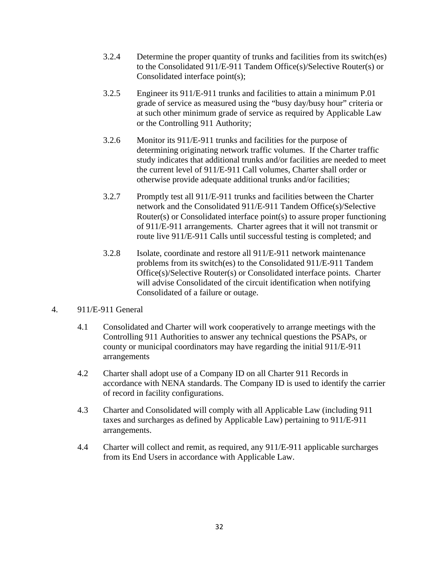- 3.2.4 Determine the proper quantity of trunks and facilities from its switch(es) to the Consolidated 911/E-911 Tandem Office(s)/Selective Router(s) or Consolidated interface point(s);
- 3.2.5 Engineer its 911/E-911 trunks and facilities to attain a minimum P.01 grade of service as measured using the "busy day/busy hour" criteria or at such other minimum grade of service as required by Applicable Law or the Controlling 911 Authority;
- 3.2.6 Monitor its 911/E-911 trunks and facilities for the purpose of determining originating network traffic volumes. If the Charter traffic study indicates that additional trunks and/or facilities are needed to meet the current level of 911/E-911 Call volumes, Charter shall order or otherwise provide adequate additional trunks and/or facilities;
- 3.2.7 Promptly test all 911/E-911 trunks and facilities between the Charter network and the Consolidated 911/E-911 Tandem Office(s)/Selective Router(s) or Consolidated interface point(s) to assure proper functioning of 911/E-911 arrangements. Charter agrees that it will not transmit or route live 911/E-911 Calls until successful testing is completed; and
- 3.2.8 Isolate, coordinate and restore all 911/E-911 network maintenance problems from its switch(es) to the Consolidated 911/E-911 Tandem Office(s)/Selective Router(s) or Consolidated interface points. Charter will advise Consolidated of the circuit identification when notifying Consolidated of a failure or outage.

# 4. 911/E-911 General

- 4.1 Consolidated and Charter will work cooperatively to arrange meetings with the Controlling 911 Authorities to answer any technical questions the PSAPs, or county or municipal coordinators may have regarding the initial 911/E-911 arrangements
- 4.2 Charter shall adopt use of a Company ID on all Charter 911 Records in accordance with NENA standards. The Company ID is used to identify the carrier of record in facility configurations.
- 4.3 Charter and Consolidated will comply with all Applicable Law (including 911 taxes and surcharges as defined by Applicable Law) pertaining to 911/E-911 arrangements.
- 4.4 Charter will collect and remit, as required, any 911/E-911 applicable surcharges from its End Users in accordance with Applicable Law.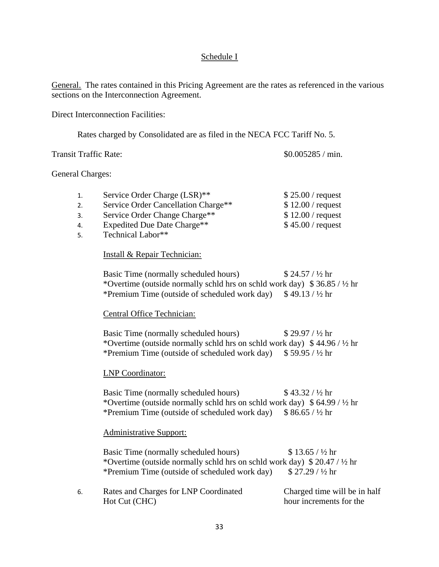# Schedule I

General. The rates contained in this Pricing Agreement are the rates as referenced in the various sections on the Interconnection Agreement.

Direct Interconnection Facilities:

Rates charged by Consolidated are as filed in the NECA FCC Tariff No. 5.

Transit Traffic Rate:  $\frac{\$0.005285}{\text{min.}}$ 

## General Charges:

| 1. | Service Order Charge (LSR)**            | $$25.00 /$ request |
|----|-----------------------------------------|--------------------|
| 2. | Service Order Cancellation Charge**     | $$12.00$ / request |
| 3. | Service Order Change Charge**           | $$12.00$ / request |
| 4. | Expedited Due Date Charge <sup>**</sup> | $$45.00$ / request |
|    |                                         |                    |

5. Technical Labor\*\*

# Install & Repair Technician:

Basic Time (normally scheduled hours)  $$ 24.57 / 1/2$  hr \*Overtime (outside normally schld hrs on schld work day)  $$36.85 / \frac{1}{2}$  hr \*Premium Time (outside of scheduled work day)  $$49.13 / ½ hr$ 

# Central Office Technician:

Basic Time (normally scheduled hours)  $$ 29.97 / \frac{1}{2}$  hr \*Overtime (outside normally schld hrs on schld work day)  $$44.96 / \frac{1}{2}$  hr \*Premium Time (outside of scheduled work day)  $$59.95 / 1/2$  hr

# LNP Coordinator:

Basic Time (normally scheduled hours)  $$ 43.32 / ½ hr$ \*Overtime (outside normally schld hrs on schld work day)  $$64.99 / ½$  hr \*Premium Time (outside of scheduled work day)  $$86.65 / ½ hr$ 

# Administrative Support:

Basic Time (normally scheduled hours) \$ 13.65 /  $\frac{1}{2}$  hr \*Overtime (outside normally schld hrs on schld work day)  $$20.47 / ½$  hr \*Premium Time (outside of scheduled work day)  $$27.29 / \frac{1}{2}$  hr

| Rates and Charges for LNP Coordinated | Charged time will be in half |
|---------------------------------------|------------------------------|
| Hot Cut (CHC)                         | hour increments for the      |